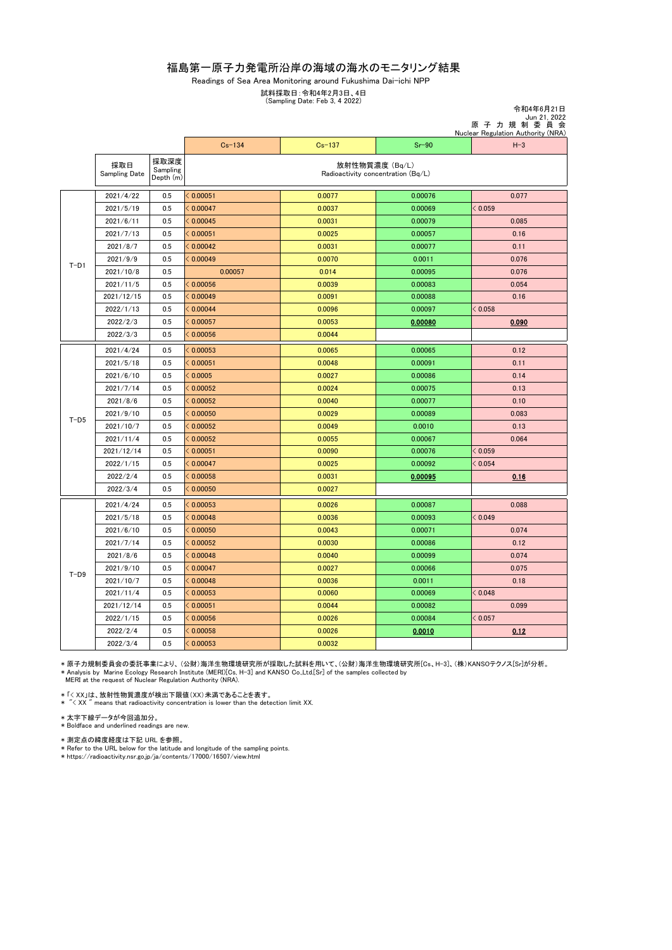## 福島第一原子力発電所沿岸の海域の海水のモニタリング結果

Readings of Sea Area Monitoring around Fukushima Dai-ichi NPP

令和4年6月21日

試料採取日:令和4年2月3日、4日

(Sampling Date: Feb 3, 4 2022)

|        |                      |                               | Jun 21, 2022<br>原子力規制委員会<br>Nuclear Regulation Authority (NRA) |            |         |         |  |
|--------|----------------------|-------------------------------|----------------------------------------------------------------|------------|---------|---------|--|
|        |                      |                               | $Cs - 134$                                                     | $Cs - 137$ | $Sr-90$ | $H-3$   |  |
|        | 採取日<br>Sampling Date | 採取深度<br>Sampling<br>Depth (m) | 放射性物質濃度 (Bq/L)<br>Radioactivity concentration (Bq/L)           |            |         |         |  |
| $T-D1$ | 2021/4/22            | 0.5                           | < 0.00051                                                      | 0.0077     | 0.00076 | 0.077   |  |
|        | 2021/5/19            | 0.5                           | < 0.00047                                                      | 0.0037     | 0.00069 | < 0.059 |  |
|        | 2021/6/11            | 0.5                           | < 0.00045                                                      | 0.0031     | 0.00079 | 0.085   |  |
|        | 2021/7/13            | 0.5                           | < 0.00051                                                      | 0.0025     | 0.00057 | 0.16    |  |
|        | 2021/8/7             | 0.5                           | < 0.00042                                                      | 0.0031     | 0.00077 | 0.11    |  |
|        | 2021/9/9             | 0.5                           | < 0.00049                                                      | 0.0070     | 0.0011  | 0.076   |  |
|        | 2021/10/8            | 0.5                           | 0.00057                                                        | 0.014      | 0.00095 | 0.076   |  |
|        | 2021/11/5            | 0.5                           | < 0.00056                                                      | 0.0039     | 0.00083 | 0.054   |  |
|        | 2021/12/15           | 0.5                           | < 0.00049                                                      | 0.0091     | 0.00088 | 0.16    |  |
|        | 2022/1/13            | 0.5                           | < 0.00044                                                      | 0.0096     | 0.00097 | < 0.058 |  |
|        | 2022/2/3             | 0.5                           | < 0.00057                                                      | 0.0053     | 0.00080 | 0.090   |  |
|        | 2022/3/3             | 0.5                           | < 0.00056                                                      | 0.0044     |         |         |  |
| $T-D5$ | 2021/4/24            | 0.5                           | < 0.00053                                                      | 0.0065     | 0.00065 | 0.12    |  |
|        | 2021/5/18            | 0.5                           | < 0.00051                                                      | 0.0048     | 0.00091 | 0.11    |  |
|        | 2021/6/10            | 0.5                           | 0.0005                                                         | 0.0027     | 0.00086 | 0.14    |  |
|        | 2021/7/14            | 0.5                           | < 0.00052                                                      | 0.0024     | 0.00075 | 0.13    |  |
|        | 2021/8/6             | 0.5                           | < 0.00052                                                      | 0.0040     | 0.00077 | 0.10    |  |
|        | 2021/9/10            | 0.5                           | < 0.00050                                                      | 0.0029     | 0.00089 | 0.083   |  |
|        | 2021/10/7            | 0.5                           | < 0.00052                                                      | 0.0049     | 0.0010  | 0.13    |  |
|        | 2021/11/4            | 0.5                           | < 0.00052                                                      | 0.0055     | 0.00067 | 0.064   |  |
|        | 2021/12/14           | 0.5                           | 0.00051                                                        | 0.0090     | 0.00076 | < 0.059 |  |
|        | 2022/1/15            | 0.5                           | < 0.00047                                                      | 0.0025     | 0.00092 | < 0.054 |  |
|        | 2022/2/4             | 0.5                           | < 0.00058                                                      | 0.0031     | 0.00095 | 0.16    |  |
|        | 2022/3/4             | 0.5                           | < 0.00050                                                      | 0.0027     |         |         |  |
| $T-D9$ | 2021/4/24            | 0.5                           | < 0.00053                                                      | 0.0026     | 0.00087 | 0.088   |  |
|        | 2021/5/18            | 0.5                           | < 0.00048                                                      | 0.0036     | 0.00093 | < 0.049 |  |
|        | 2021/6/10            | 0.5                           | < 0.00050                                                      | 0.0043     | 0.00071 | 0.074   |  |
|        | 2021/7/14            | 0.5                           | < 0.00052                                                      | 0.0030     | 0.00086 | 0.12    |  |
|        | 2021/8/6             | 0.5                           | < 0.00048                                                      | 0.0040     | 0.00099 | 0.074   |  |
|        | 2021/9/10            | 0.5                           | < 0.00047                                                      | 0.0027     | 0.00066 | 0.075   |  |
|        | 2021/10/7            | 0.5                           | < 0.00048                                                      | 0.0036     | 0.0011  | 0.18    |  |
|        | 2021/11/4            | 0.5                           | < 0.00053                                                      | 0.0060     | 0.00069 | < 0.048 |  |
|        | 2021/12/14           | 0.5                           | < 0.00051                                                      | 0.0044     | 0.00082 | 0.099   |  |
|        | 2022/1/15            | 0.5                           | 0.00056                                                        | 0.0026     | 0.00084 | < 0.057 |  |
|        | 2022/2/4             | 0.5                           | < 0.00058                                                      | 0.0026     | 0.0010  | 0.12    |  |
|        | 2022/3/4             | 0.5                           | < 0.00053                                                      | 0.0032     |         |         |  |

\*原子力規制委員会の委託事業により、(公財)海洋生物環境研究所が採取した試料を用いて、(公財)海洋生物環境研究所[Os、H-3]、(株)KANSOテクノス[Sr]が分析。<br>\* Analysis by Marine Ecology Research Institute (MERI)[Cs, H-3] and KANSO Co.,Ltd.[Sr] of the samples collected by<br>- MERI at the reque

\* 「< XX」は、放射性物質濃度が検出下限値(XX)未満であることを表す。 \* "< XX " means that radioactivity concentration is lower than the detection limit XX.

\* 太字下線データが今回追加分。<br>\* Boldface and underlined readings are new.

\* 測定点の緯度経度は下記 URL を参照。

\* Refer to the URL below for the latitude and longitude of the sampling points. \* https://radioactivity.nsr.go.jp/ja/contents/17000/16507/view.html